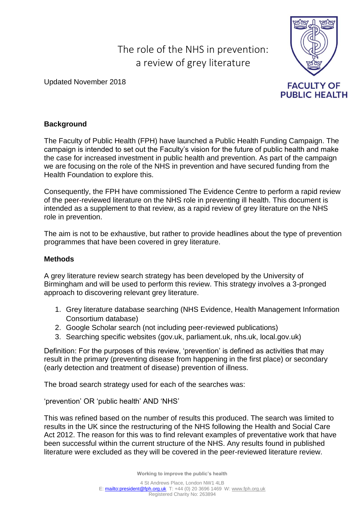# The role of the NHS in prevention: a review of grey literature

Updated November 2018



# **Background**

The Faculty of Public Health (FPH) have launched a Public Health Funding Campaign. The campaign is intended to set out the Faculty's vision for the future of public health and make the case for increased investment in public health and prevention. As part of the campaign we are focusing on the role of the NHS in prevention and have secured funding from the Health Foundation to explore this.

Consequently, the FPH have commissioned The Evidence Centre to perform a rapid review of the peer-reviewed literature on the NHS role in preventing ill health. This document is intended as a supplement to that review, as a rapid review of grey literature on the NHS role in prevention.

The aim is not to be exhaustive, but rather to provide headlines about the type of prevention programmes that have been covered in grey literature.

### **Methods**

A grey literature review search strategy has been developed by the University of Birmingham and will be used to perform this review. This strategy involves a 3-pronged approach to discovering relevant grey literature.

- 1. Grey literature database searching (NHS Evidence, Health Management Information Consortium database)
- 2. Google Scholar search (not including peer-reviewed publications)
- 3. Searching specific websites (gov.uk, parliament.uk, nhs.uk, local.gov.uk)

Definition: For the purposes of this review, 'prevention' is defined as activities that may result in the primary (preventing disease from happening in the first place) or secondary (early detection and treatment of disease) prevention of illness.

The broad search strategy used for each of the searches was:

'prevention' OR 'public health' AND 'NHS'

This was refined based on the number of results this produced. The search was limited to results in the UK since the restructuring of the NHS following the Health and Social Care Act 2012. The reason for this was to find relevant examples of preventative work that have been successful within the current structure of the NHS. Any results found in published literature were excluded as they will be covered in the peer-reviewed literature review.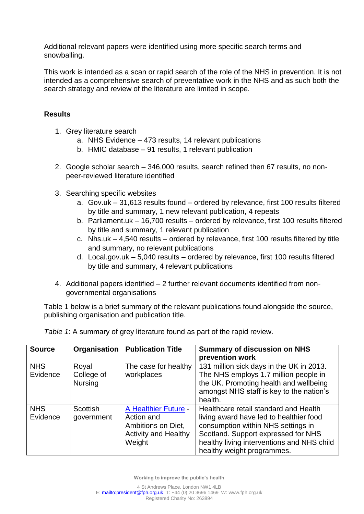Additional relevant papers were identified using more specific search terms and snowballing.

This work is intended as a scan or rapid search of the role of the NHS in prevention. It is not intended as a comprehensive search of preventative work in the NHS and as such both the search strategy and review of the literature are limited in scope.

# **Results**

- 1. Grey literature search
	- a. NHS Evidence 473 results, 14 relevant publications
	- b. HMIC database 91 results, 1 relevant publication
- 2. Google scholar search 346,000 results, search refined then 67 results, no nonpeer-reviewed literature identified
- 3. Searching specific websites
	- a. Gov.uk 31,613 results found ordered by relevance, first 100 results filtered by title and summary, 1 new relevant publication, 4 repeats
	- b. Parliament.uk 16,700 results ordered by relevance, first 100 results filtered by title and summary, 1 relevant publication
	- c. Nhs.uk 4,540 results ordered by relevance, first 100 results filtered by title and summary, no relevant publications
	- d. Local.gov.uk 5,040 results ordered by relevance, first 100 results filtered by title and summary, 4 relevant publications
- 4. Additional papers identified 2 further relevant documents identified from nongovernmental organisations

Table 1 below is a brief summary of the relevant publications found alongside the source, publishing organisation and publication title.

| <b>Source</b>          | Organisation                          | <b>Publication Title</b>                                                                          | <b>Summary of discussion on NHS</b><br>prevention work                                                                                                                                                                                    |
|------------------------|---------------------------------------|---------------------------------------------------------------------------------------------------|-------------------------------------------------------------------------------------------------------------------------------------------------------------------------------------------------------------------------------------------|
| <b>NHS</b><br>Evidence | Royal<br>College of<br><b>Nursing</b> | The case for healthy<br>workplaces                                                                | 131 million sick days in the UK in 2013.<br>The NHS employs 1.7 million people in<br>the UK. Promoting health and wellbeing<br>amongst NHS staff is key to the nation's<br>health.                                                        |
| <b>NHS</b><br>Evidence | <b>Scottish</b><br>government         | A Healthier Future -<br>Action and<br>Ambitions on Diet,<br><b>Activity and Healthy</b><br>Weight | Healthcare retail standard and Health<br>living award have led to healthier food<br>consumption within NHS settings in<br>Scotland. Support expressed for NHS<br>healthy living interventions and NHS child<br>healthy weight programmes. |

*Table 1*: A summary of grey literature found as part of the rapid review.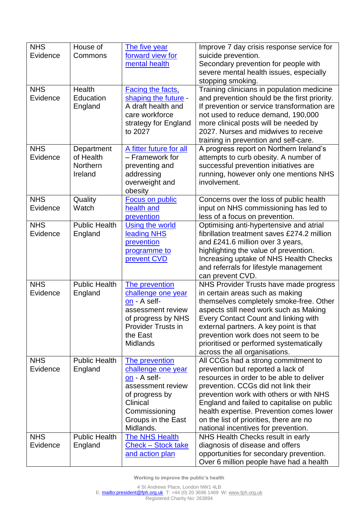| <b>NHS</b> | House of             | The five year                                | Improve 7 day crisis response service for                                  |
|------------|----------------------|----------------------------------------------|----------------------------------------------------------------------------|
| Evidence   | Commons              | forward view for                             | suicide prevention.                                                        |
|            |                      | mental health                                | Secondary prevention for people with                                       |
|            |                      |                                              | severe mental health issues, especially                                    |
|            |                      |                                              | stopping smoking.                                                          |
| <b>NHS</b> | <b>Health</b>        | <b>Facing the facts,</b>                     | Training clinicians in population medicine                                 |
| Evidence   | Education            | shaping the future -                         | and prevention should be the first priority.                               |
|            | England              | A draft health and                           | If prevention or service transformation are                                |
|            |                      | care workforce                               | not used to reduce demand, 190,000                                         |
|            |                      | strategy for England                         | more clinical posts will be needed by                                      |
|            |                      | to 2027                                      | 2027. Nurses and midwives to receive                                       |
|            |                      |                                              | training in prevention and self-care.                                      |
| <b>NHS</b> | Department           | A fitter future for all                      | A progress report on Northern Ireland's                                    |
| Evidence   | of Health            | - Framework for                              | attempts to curb obesity. A number of                                      |
|            | Northern             | preventing and                               | successful prevention initiatives are                                      |
|            | Ireland              | addressing                                   | running, however only one mentions NHS                                     |
|            |                      | overweight and                               | involvement.                                                               |
|            |                      | obesity                                      |                                                                            |
| <b>NHS</b> | Quality              | Focus on public                              | Concerns over the loss of public health                                    |
| Evidence   | Watch                | health and                                   | input on NHS commissioning has led to                                      |
|            |                      | prevention                                   | less of a focus on prevention.                                             |
| <b>NHS</b> | <b>Public Health</b> | <b>Using the world</b>                       | Optimising anti-hypertensive and atrial                                    |
| Evidence   | England              | leading NHS                                  | fibrillation treatment saves £274.2 million                                |
|            |                      | prevention                                   | and £241.6 million over 3 years,                                           |
|            |                      | programme to                                 | highlighting the value of prevention.                                      |
|            |                      | prevent CVD                                  | Increasing uptake of NHS Health Checks                                     |
|            |                      |                                              | and referrals for lifestyle management                                     |
|            |                      |                                              | can prevent CVD.                                                           |
| <b>NHS</b> | <b>Public Health</b> | The prevention                               | NHS Provider Trusts have made progress                                     |
| Evidence   | England              | challenge one year                           | in certain areas such as making                                            |
|            |                      | on - A self-                                 | themselves completely smoke-free. Other                                    |
|            |                      | assessment review                            | aspects still need work such as Making                                     |
|            |                      | of progress by NHS                           | <b>Every Contact Count and linking with</b>                                |
|            |                      | <b>Provider Trusts in</b>                    | external partners. A key point is that                                     |
|            |                      | the East                                     | prevention work does not seem to be                                        |
|            |                      | <b>Midlands</b>                              | prioritised or performed systematically                                    |
|            |                      |                                              | across the all organisations.                                              |
| <b>NHS</b> | <b>Public Health</b> | The prevention                               | All CCGs had a strong commitment to                                        |
| Evidence   | England              | challenge one year                           | prevention but reported a lack of                                          |
|            |                      | on - A self-                                 | resources in order to be able to deliver                                   |
|            |                      | assessment review                            | prevention. CCGs did not link their                                        |
|            |                      | of progress by                               | prevention work with others or with NHS                                    |
|            |                      | Clinical                                     | England and failed to capitalise on public                                 |
|            |                      | Commissioning                                | health expertise. Prevention comes lower                                   |
|            |                      | Groups in the East<br>Midlands.              | on the list of priorities, there are no                                    |
| <b>NHS</b> | <b>Public Health</b> |                                              | national incentives for prevention.                                        |
| Evidence   |                      | The NHS Health                               | NHS Health Checks result in early                                          |
|            | England              | <b>Check - Stock take</b><br>and action plan | diagnosis of disease and offers<br>opportunities for secondary prevention. |
|            |                      |                                              | Over 6 million people have had a health                                    |
|            |                      |                                              |                                                                            |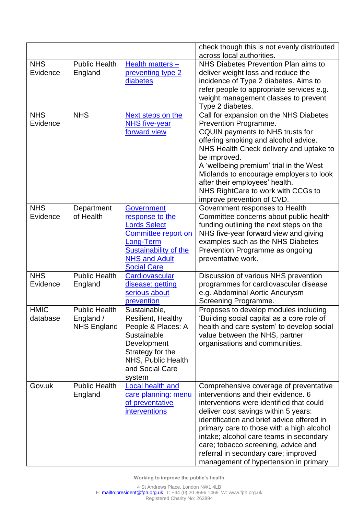|                         |                                                         |                                                                                                                                                                               | check though this is not evenly distributed                                                                                                                                                                                                                                                                                                                                                                                     |
|-------------------------|---------------------------------------------------------|-------------------------------------------------------------------------------------------------------------------------------------------------------------------------------|---------------------------------------------------------------------------------------------------------------------------------------------------------------------------------------------------------------------------------------------------------------------------------------------------------------------------------------------------------------------------------------------------------------------------------|
|                         |                                                         |                                                                                                                                                                               | across local authorities.                                                                                                                                                                                                                                                                                                                                                                                                       |
| <b>NHS</b><br>Evidence  | <b>Public Health</b><br>England                         | Health matters -<br>preventing type 2<br>diabetes                                                                                                                             | NHS Diabetes Prevention Plan aims to<br>deliver weight loss and reduce the<br>incidence of Type 2 diabetes. Aims to<br>refer people to appropriate services e.g.<br>weight management classes to prevent                                                                                                                                                                                                                        |
| <b>NHS</b><br>Evidence  | <b>NHS</b>                                              | Next steps on the<br><b>NHS</b> five-year<br>forward view                                                                                                                     | Type 2 diabetes.<br>Call for expansion on the NHS Diabetes<br>Prevention Programme.<br>CQUIN payments to NHS trusts for<br>offering smoking and alcohol advice.<br>NHS Health Check delivery and uptake to<br>be improved.<br>A 'wellbeing premium' trial in the West<br>Midlands to encourage employers to look<br>after their employees' health.<br>NHS RightCare to work with CCGs to<br>improve prevention of CVD.          |
| <b>NHS</b><br>Evidence  | Department<br>of Health                                 | <b>Government</b><br>response to the<br><b>Lords Select</b><br>Committee report on<br>Long-Term<br><b>Sustainability of the</b><br><b>NHS and Adult</b><br><b>Social Care</b> | Government responses to Health<br>Committee concerns about public health<br>funding outlining the next steps on the<br>NHS five-year forward view and giving<br>examples such as the NHS Diabetes<br>Prevention Programme as ongoing<br>preventative work.                                                                                                                                                                      |
| <b>NHS</b><br>Evidence  | <b>Public Health</b><br>England                         | Cardiovascular<br>disease: getting<br>serious about<br>prevention                                                                                                             | Discussion of various NHS prevention<br>programmes for cardiovascular disease<br>e.g. Abdominal Aortic Aneurysm<br>Screening Programme.                                                                                                                                                                                                                                                                                         |
| <b>HMIC</b><br>database | <b>Public Health</b><br>England /<br><b>NHS England</b> | Sustainable,<br><b>Resilient, Healthy</b><br>People & Places: A<br>Sustainable<br>Development<br>Strategy for the<br>NHS, Public Health<br>and Social Care<br>system          | Proposes to develop modules including<br>'Building social capital as a core role of<br>health and care system' to develop social<br>value between the NHS, partner<br>organisations and communities.                                                                                                                                                                                                                            |
| Gov.uk                  | <b>Public Health</b><br>England                         | <b>Local health and</b><br>care planning: menu<br>of preventative<br><i>interventions</i>                                                                                     | Comprehensive coverage of preventative<br>interventions and their evidence. 6<br>interventions were identified that could<br>deliver cost savings within 5 years:<br>identification and brief advice offered in<br>primary care to those with a high alcohol<br>intake; alcohol care teams in secondary<br>care; tobacco screening, advice and<br>referral in secondary care; improved<br>management of hypertension in primary |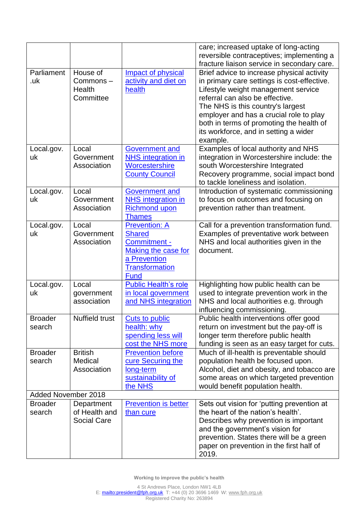|                          |                                                   |                                                                                                                               | care; increased uptake of long-acting<br>reversible contraceptives; implementing a                                                                                                                                                                                                                                                                   |
|--------------------------|---------------------------------------------------|-------------------------------------------------------------------------------------------------------------------------------|------------------------------------------------------------------------------------------------------------------------------------------------------------------------------------------------------------------------------------------------------------------------------------------------------------------------------------------------------|
|                          |                                                   |                                                                                                                               | fracture liaison service in secondary care.                                                                                                                                                                                                                                                                                                          |
| Parliament<br>.uk        | House of<br>Commons-<br>Health<br>Committee       | <b>Impact of physical</b><br>activity and diet on<br>health                                                                   | Brief advice to increase physical activity<br>in primary care settings is cost-effective.<br>Lifestyle weight management service<br>referral can also be effective.<br>The NHS is this country's largest<br>employer and has a crucial role to play<br>both in terms of promoting the health of<br>its workforce, and in setting a wider<br>example. |
| Local.gov.<br>uk         | Local<br>Government<br>Association                | <b>Government and</b><br><b>NHS</b> integration in<br>Worcestershire<br><b>County Council</b>                                 | Examples of local authority and NHS<br>integration in Worcestershire include: the<br>south Worcestershire Integrated<br>Recovery programme, social impact bond<br>to tackle loneliness and isolation.                                                                                                                                                |
| Local.gov.<br>uk         | Local<br>Government<br>Association                | <b>Government and</b><br><b>NHS</b> integration in<br><b>Richmond upon</b><br><b>Thames</b>                                   | Introduction of systematic commissioning<br>to focus on outcomes and focusing on<br>prevention rather than treatment.                                                                                                                                                                                                                                |
| Local.gov.<br>uk         | Local<br>Government<br>Association                | <b>Prevention: A</b><br><b>Shared</b><br>Commitment -<br>Making the case for<br>a Prevention<br><b>Transformation</b><br>Fund | Call for a prevention transformation fund.<br>Examples of preventative work between<br>NHS and local authorities given in the<br>document.                                                                                                                                                                                                           |
| Local.gov.<br>uk         | Local<br>government<br>association                | <b>Public Health's role</b><br>in local government<br>and NHS integration                                                     | Highlighting how public health can be<br>used to integrate prevention work in the<br>NHS and local authorities e.g. through<br>influencing commissioning.                                                                                                                                                                                            |
| <b>Broader</b><br>search | <b>Nuffield trust</b>                             | <b>Cuts to public</b><br>health: why<br>spending less will<br>cost the NHS more                                               | Public health interventions offer good<br>return on investment but the pay-off is<br>longer term therefore public health<br>funding is seen as an easy target for cuts.                                                                                                                                                                              |
| <b>Broader</b><br>search | <b>British</b><br>Medical<br>Association          | <b>Prevention before</b><br>cure Securing the<br>long-term<br>sustainability of<br>the NHS                                    | Much of ill-health is preventable should<br>population health be focused upon.<br>Alcohol, diet and obesity, and tobacco are<br>some areas on which targeted prevention<br>would benefit population health.                                                                                                                                          |
| Added November 2018      |                                                   |                                                                                                                               |                                                                                                                                                                                                                                                                                                                                                      |
| <b>Broader</b><br>search | Department<br>of Health and<br><b>Social Care</b> | <b>Prevention is better</b><br>than cure                                                                                      | Sets out vision for 'putting prevention at<br>the heart of the nation's health'.<br>Describes why prevention is important<br>and the government's vision for<br>prevention. States there will be a green<br>paper on prevention in the first half of<br>2019.                                                                                        |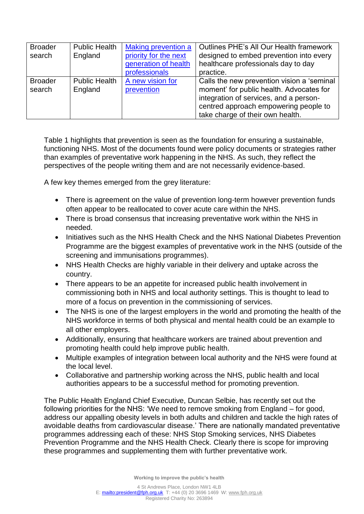| <b>Broader</b> | <b>Public Health</b> | <b>Making prevention a</b> | Outlines PHE's All Our Health framework    |
|----------------|----------------------|----------------------------|--------------------------------------------|
| search         | England              | priority for the next      | designed to embed prevention into every    |
|                |                      | generation of health       | healthcare professionals day to day        |
|                |                      | professionals              | practice.                                  |
| <b>Broader</b> | <b>Public Health</b> | A new vision for           | Calls the new prevention vision a 'seminal |
| search         | England              | prevention                 | moment' for public health. Advocates for   |
|                |                      |                            | integration of services, and a person-     |
|                |                      |                            | centred approach empowering people to      |
|                |                      |                            | take charge of their own health.           |

Table 1 highlights that prevention is seen as the foundation for ensuring a sustainable, functioning NHS. Most of the documents found were policy documents or strategies rather than examples of preventative work happening in the NHS. As such, they reflect the perspectives of the people writing them and are not necessarily evidence-based.

A few key themes emerged from the grey literature:

- There is agreement on the value of prevention long-term however prevention funds often appear to be reallocated to cover acute care within the NHS.
- There is broad consensus that increasing preventative work within the NHS in needed.
- Initiatives such as the NHS Health Check and the NHS National Diabetes Prevention Programme are the biggest examples of preventative work in the NHS (outside of the screening and immunisations programmes).
- NHS Health Checks are highly variable in their delivery and uptake across the country.
- There appears to be an appetite for increased public health involvement in commissioning both in NHS and local authority settings. This is thought to lead to more of a focus on prevention in the commissioning of services.
- The NHS is one of the largest employers in the world and promoting the health of the NHS workforce in terms of both physical and mental health could be an example to all other employers.
- Additionally, ensuring that healthcare workers are trained about prevention and promoting health could help improve public health.
- Multiple examples of integration between local authority and the NHS were found at the local level.
- Collaborative and partnership working across the NHS, public health and local authorities appears to be a successful method for promoting prevention.

The Public Health England Chief Executive, Duncan Selbie, has recently set out the following priorities for the NHS: 'We need to remove smoking from England – for good, address our appalling obesity levels in both adults and children and tackle the high rates of avoidable deaths from cardiovascular disease.' There are nationally mandated preventative programmes addressing each of these: NHS Stop Smoking services, NHS Diabetes Prevention Programme and the NHS Health Check. Clearly there is scope for improving these programmes and supplementing them with further preventative work.